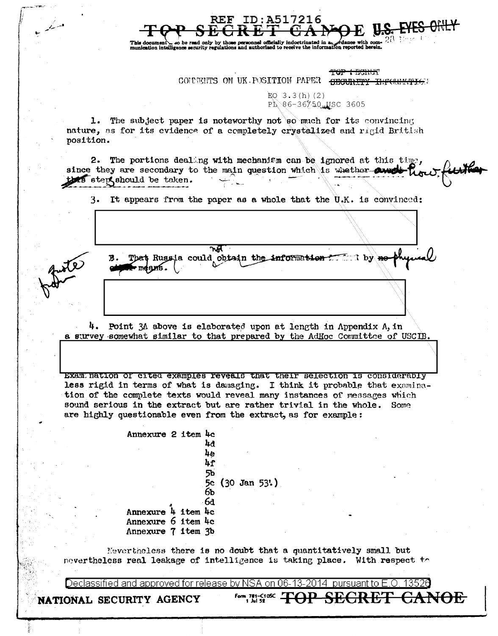nunication intelligence

**REF ID:A517216** 

TOP **(ECHAT** CONNENTS ON UK POSITION PAPER SECURITY INFORMATION

> $EO$  3.3(h)(2)  $P_6^3$  86-36750. USC 3605

1. The subject paper is noteworthy not so much for its convincing nature, as for its evidence of a completely crystalized and rigid British position.

2. The portions dealing with mechanism can be ignored at this time, since they are secondary to the main question which is whether awn **As step should be taken.** السلام والسيلة

It appears from the paper as a whole that the U.K. is convinced: 3.



4. Point 3A above is elaborated upon at length in Appendix A, in a survey somewhat similar to that prepared by the AdHoc Committee of USCIB.

EXAMINAtion of cited examples reveals that their selection is considerably less rigid in terms of what is damaging. I think it probable that examination of the complete texts would reveal many instances of messages which sound serious in the extract but are rather trivial in the whole. Some are highly questionable even from the extract, as for example:

> Annexure 2 item 4c ਇਰ  $\frac{1}{2}$  $\mathbf{h}$ r 5b 5c (30 Jan 53'.) бb 6a Annexure 4 item 4c Annexure 6 item 4c

Annexure 7 item 3b

Nevertheless there is no doubt that a quantitatively small but nevertheless real leakage of intelligence is taking place. With respect to

Declassified and approved for release by NSA on 06-13-2014. pursuant to E.O.

NATIONAL SECURITY AGENCY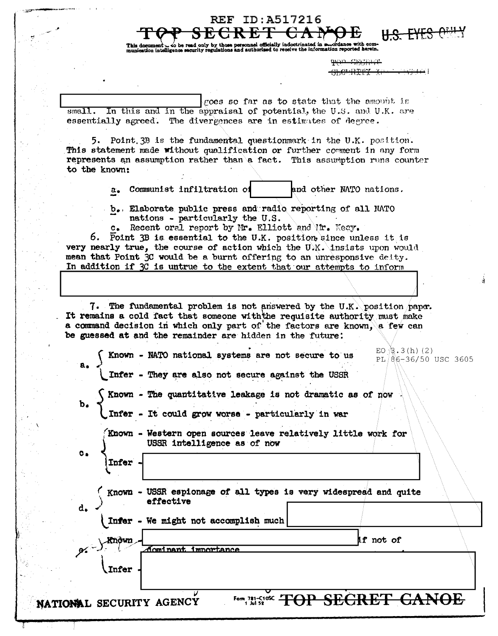**REF ID:A517216**  $FAf$ <del>CRET</del> <del>EYFS</del> <del>H.S. -</del> so be read only by those personnel officially indoctrinated in suppresenting com-<br>rence security regulations and authorized to receive the information reported herein. This document BIOIN CRETEFIER <del>81.0937197</del> goes so far as to state that the amount is  $s$ mall. In this and in the appraisal of potential, the U.S. and U.K. are essentially agreed. The divergences are in estimates of degree. Point. 3B is the fundamental questionmark in the U.K. position. 5. This statement made without qualification or further comment in any form represents an assumption rather than a fact. This assumption runs counter to the known: a. Communist infiltration of and other NATO nations. b. Elaborate public press and radio reporting of all NATO nations - particularly the U.S. Recent oral report by Mr. Elliott and Mr. Keay.  $c_{\bullet}$ Point 3B is essential to the U.K. position since unless it is very nearly true, the course of action which the U.K. insists upon would mean that Point 3C would be a burnt offering to an unresponsive deity. In addition if 3C is untrue to the extent that our attempts to inform 7. The fundamental problem is not answered by the U.K. position paper. It remains a cold fact that someone with the requisite authority must make a command decision in which only part of the factors are known, a few can be guessed at and the remainder are hidden in the future: EO  $\sqrt{3}$ . 3 (h) (2) Known - NATO national systems are not secure to us PL 86-36/50 USC 3605  $a<sub>1</sub>$ Infer - They are also not secure against the USSR Known - The quantitative leakage is not dramatic as of now Infer - It could grow worse - particularly in war Known - Western open sources leave relatively little work for USSR intelligence as of now **Infer** Known - USSR espionage of all types is very widespread and quite effective d. Infer - We might not accomplish much if not of fnavn dominant importance Infer **Form, 721-SW SECRET GANOE** NATIONAL SECURITY AGENCY